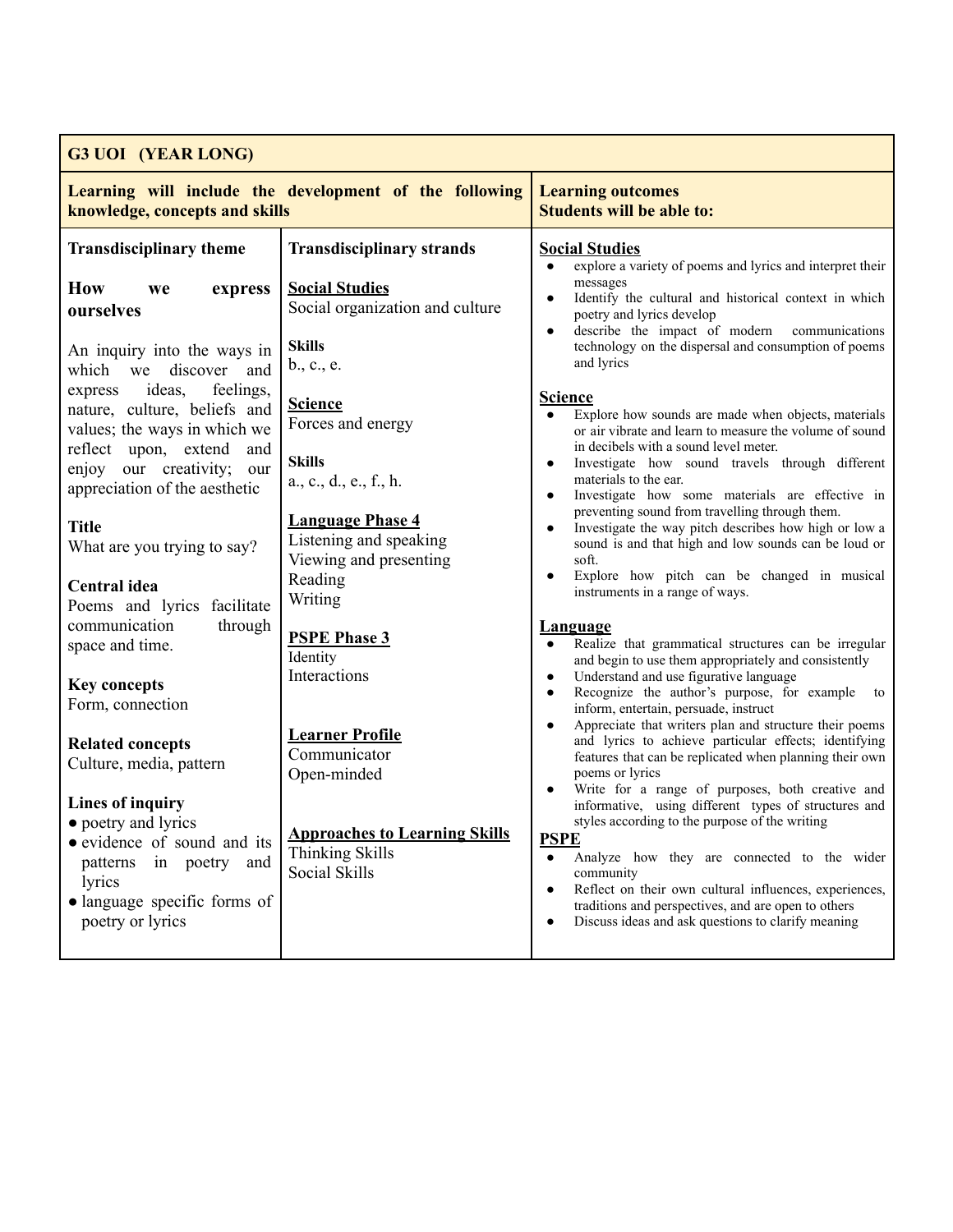| <b>G3 UOI (YEAR LONG)</b>                                                                                                                                                                   |                                                                                         |                                                                                                                                                                                                                                                                                                                                                                                                                                                                                                                                                                                                                                                                                                                                                                                                                                                   |  |  |
|---------------------------------------------------------------------------------------------------------------------------------------------------------------------------------------------|-----------------------------------------------------------------------------------------|---------------------------------------------------------------------------------------------------------------------------------------------------------------------------------------------------------------------------------------------------------------------------------------------------------------------------------------------------------------------------------------------------------------------------------------------------------------------------------------------------------------------------------------------------------------------------------------------------------------------------------------------------------------------------------------------------------------------------------------------------------------------------------------------------------------------------------------------------|--|--|
| Learning will include the development of the following<br>knowledge, concepts and skills                                                                                                    |                                                                                         | <b>Learning outcomes</b><br><b>Students will be able to:</b>                                                                                                                                                                                                                                                                                                                                                                                                                                                                                                                                                                                                                                                                                                                                                                                      |  |  |
| <b>Transdisciplinary theme</b>                                                                                                                                                              | <b>Transdisciplinary strands</b>                                                        | <b>Social Studies</b><br>explore a variety of poems and lyrics and interpret their<br>$\bullet$                                                                                                                                                                                                                                                                                                                                                                                                                                                                                                                                                                                                                                                                                                                                                   |  |  |
| <b>How</b><br>express<br>we<br>ourselves<br>An inquiry into the ways in<br>which we discover<br>and                                                                                         | <b>Social Studies</b><br>Social organization and culture<br><b>Skills</b><br>b., c., e. | messages<br>Identify the cultural and historical context in which<br>$\bullet$<br>poetry and lyrics develop<br>describe the impact of modern<br>communications<br>$\bullet$<br>technology on the dispersal and consumption of poems<br>and lyrics                                                                                                                                                                                                                                                                                                                                                                                                                                                                                                                                                                                                 |  |  |
| ideas,<br>feelings,<br>express<br>nature, culture, beliefs and<br>values; the ways in which we<br>reflect upon, extend<br>and<br>enjoy our creativity; our<br>appreciation of the aesthetic | <b>Science</b><br>Forces and energy<br><b>Skills</b><br>a., c., d., e., f., h.          | <b>Science</b><br>Explore how sounds are made when objects, materials<br>$\bullet$<br>or air vibrate and learn to measure the volume of sound<br>in decibels with a sound level meter.<br>Investigate how sound travels through different<br>$\bullet$<br>materials to the ear.<br>Investigate how some materials are effective in<br>$\bullet$                                                                                                                                                                                                                                                                                                                                                                                                                                                                                                   |  |  |
| <b>Title</b><br>What are you trying to say?                                                                                                                                                 | <b>Language Phase 4</b><br>Listening and speaking<br>Viewing and presenting<br>Reading  | preventing sound from travelling through them.<br>Investigate the way pitch describes how high or low a<br>sound is and that high and low sounds can be loud or<br>soft.<br>Explore how pitch can be changed in musical                                                                                                                                                                                                                                                                                                                                                                                                                                                                                                                                                                                                                           |  |  |
| Central idea<br>Poems and lyrics facilitate<br>through<br>communication<br>space and time.                                                                                                  | Writing<br><b>PSPE Phase 3</b>                                                          | instruments in a range of ways.<br><b>Language</b><br>Realize that grammatical structures can be irregular                                                                                                                                                                                                                                                                                                                                                                                                                                                                                                                                                                                                                                                                                                                                        |  |  |
| <b>Key concepts</b><br>Form, connection                                                                                                                                                     | Identity<br>Interactions                                                                | and begin to use them appropriately and consistently<br>Understand and use figurative language<br>$\bullet$<br>Recognize the author's purpose, for example to<br>$\bullet$<br>inform, entertain, persuade, instruct<br>Appreciate that writers plan and structure their poems<br>$\bullet$<br>and lyrics to achieve particular effects; identifying<br>features that can be replicated when planning their own<br>poems or lyrics<br>Write for a range of purposes, both creative and<br>informative, using different types of structures and<br>styles according to the purpose of the writing<br><u>PSPE</u><br>Analyze how they are connected to the wider<br>community<br>Reflect on their own cultural influences, experiences,<br>traditions and perspectives, and are open to others<br>Discuss ideas and ask questions to clarify meaning |  |  |
| <b>Related concepts</b><br>Culture, media, pattern                                                                                                                                          | <b>Learner Profile</b><br>Communicator<br>Open-minded                                   |                                                                                                                                                                                                                                                                                                                                                                                                                                                                                                                                                                                                                                                                                                                                                                                                                                                   |  |  |
| <b>Lines of inquiry</b><br>• poetry and lyrics<br>• evidence of sound and its<br>in poetry and<br>patterns<br>lyrics<br>· language specific forms of<br>poetry or lyrics                    | <b>Approaches to Learning Skills</b><br><b>Thinking Skills</b><br>Social Skills         |                                                                                                                                                                                                                                                                                                                                                                                                                                                                                                                                                                                                                                                                                                                                                                                                                                                   |  |  |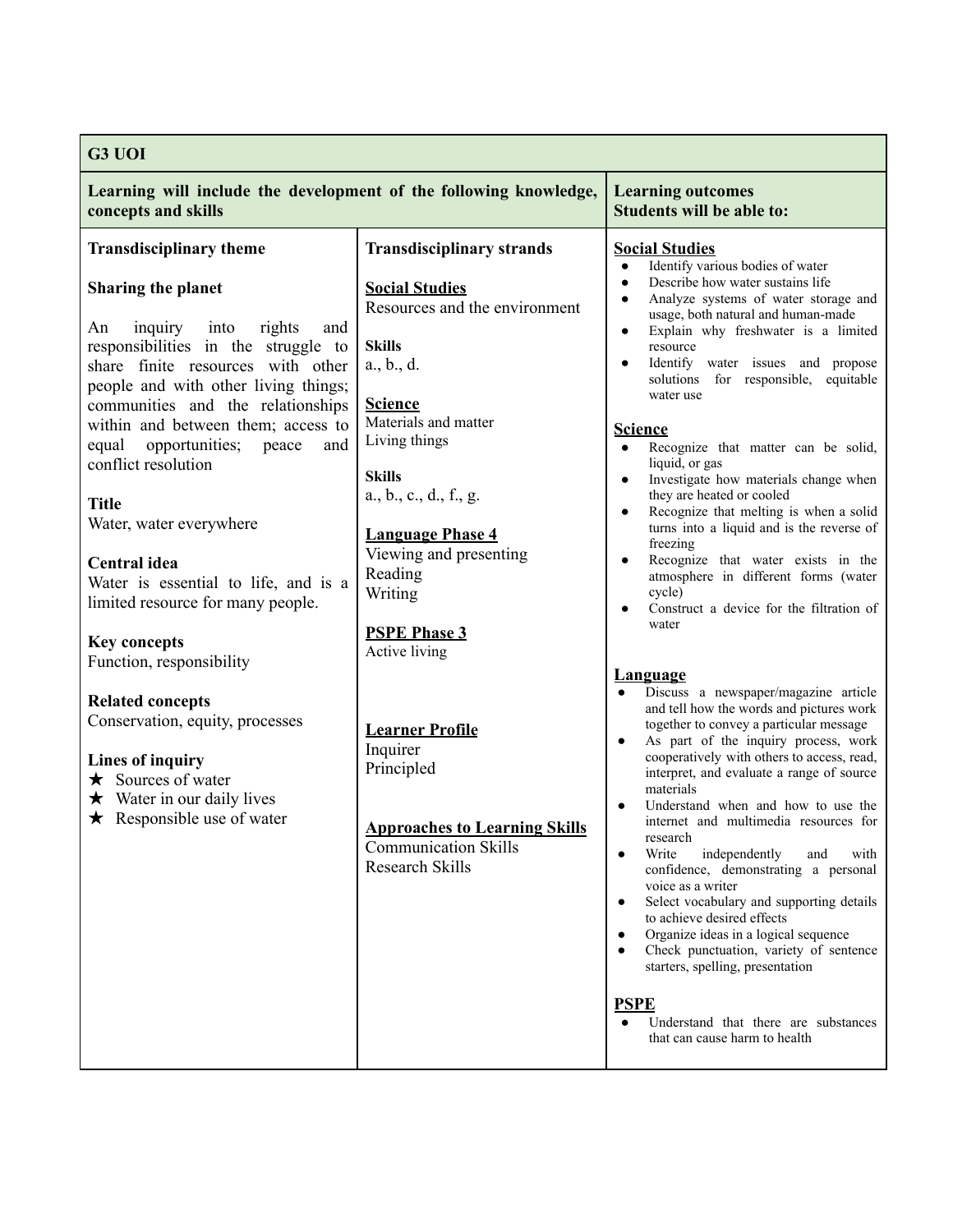| G3 UOI                                                                                                                                                                                                                                                                                                                                                                                                                                                                                                                       |                                                                                                                                                                                                                                                                                                                                       |                                                                                                                                                                                                                                                                                                                                                                                                                                                                                                                                                                                                                                                                                                                                                                                                                                             |  |  |
|------------------------------------------------------------------------------------------------------------------------------------------------------------------------------------------------------------------------------------------------------------------------------------------------------------------------------------------------------------------------------------------------------------------------------------------------------------------------------------------------------------------------------|---------------------------------------------------------------------------------------------------------------------------------------------------------------------------------------------------------------------------------------------------------------------------------------------------------------------------------------|---------------------------------------------------------------------------------------------------------------------------------------------------------------------------------------------------------------------------------------------------------------------------------------------------------------------------------------------------------------------------------------------------------------------------------------------------------------------------------------------------------------------------------------------------------------------------------------------------------------------------------------------------------------------------------------------------------------------------------------------------------------------------------------------------------------------------------------------|--|--|
| Learning will include the development of the following knowledge,<br>concepts and skills                                                                                                                                                                                                                                                                                                                                                                                                                                     |                                                                                                                                                                                                                                                                                                                                       | <b>Learning outcomes</b><br><b>Students will be able to:</b>                                                                                                                                                                                                                                                                                                                                                                                                                                                                                                                                                                                                                                                                                                                                                                                |  |  |
| <b>Transdisciplinary theme</b>                                                                                                                                                                                                                                                                                                                                                                                                                                                                                               | <b>Transdisciplinary strands</b>                                                                                                                                                                                                                                                                                                      | <b>Social Studies</b><br>Identify various bodies of water<br>$\bullet$                                                                                                                                                                                                                                                                                                                                                                                                                                                                                                                                                                                                                                                                                                                                                                      |  |  |
| Sharing the planet<br>inquiry into<br>rights<br>An<br>and<br>responsibilities in the struggle to<br>share finite resources with other<br>people and with other living things;<br>communities and the relationships<br>within and between them; access to<br>equal<br>opportunities;<br>peace<br>and<br>conflict resolution<br><b>Title</b><br>Water, water everywhere<br><b>Central</b> idea<br>Water is essential to life, and is a<br>limited resource for many people.<br><b>Key concepts</b><br>Function, responsibility | <b>Social Studies</b><br>Resources and the environment<br><b>Skills</b><br>$a_{\cdot}, b_{\cdot}, d_{\cdot}$<br><b>Science</b><br>Materials and matter<br>Living things<br><b>Skills</b><br>a., b., c., d., f., g.<br><b>Language Phase 4</b><br>Viewing and presenting<br>Reading<br>Writing<br><b>PSPE Phase 3</b><br>Active living | Describe how water sustains life<br>$\bullet$<br>Analyze systems of water storage and<br>$\bullet$<br>usage, both natural and human-made<br>Explain why freshwater is a limited<br>$\bullet$<br>resource<br>Identify water issues and propose<br>$\bullet$<br>solutions for responsible,<br>equitable<br>water use<br><b>Science</b><br>Recognize that matter can be solid,<br>$\bullet$<br>liquid, or gas<br>Investigate how materials change when<br>$\bullet$<br>they are heated or cooled<br>Recognize that melting is when a solid<br>$\bullet$<br>turns into a liquid and is the reverse of<br>freezing<br>Recognize that water exists in the<br>٠<br>atmosphere in different forms (water<br>cycle)<br>Construct a device for the filtration of<br>$\bullet$<br>water                                                                |  |  |
| <b>Related concepts</b><br>Conservation, equity, processes<br><b>Lines of inquiry</b><br>$\star$ Sources of water<br>$\star$ Water in our daily lives<br>$\star$ Responsible use of water                                                                                                                                                                                                                                                                                                                                    | <b>Learner Profile</b><br>Inquirer<br>Principled<br><b>Approaches to Learning Skills</b><br><b>Communication Skills</b><br><b>Research Skills</b>                                                                                                                                                                                     | <b>Language</b><br>Discuss a newspaper/magazine article<br>and tell how the words and pictures work<br>together to convey a particular message<br>As part of the inquiry process, work<br>$\bullet$<br>cooperatively with others to access, read,<br>interpret, and evaluate a range of source<br>materials<br>Understand when and how to use the<br>internet and multimedia resources for<br>research<br>Write<br>independently<br>and<br>with<br>$\bullet$<br>confidence, demonstrating a personal<br>voice as a writer<br>Select vocabulary and supporting details<br>$\bullet$<br>to achieve desired effects<br>Organize ideas in a logical sequence<br>Check punctuation, variety of sentence<br>$\bullet$<br>starters, spelling, presentation<br><b>PSPE</b><br>Understand that there are substances<br>that can cause harm to health |  |  |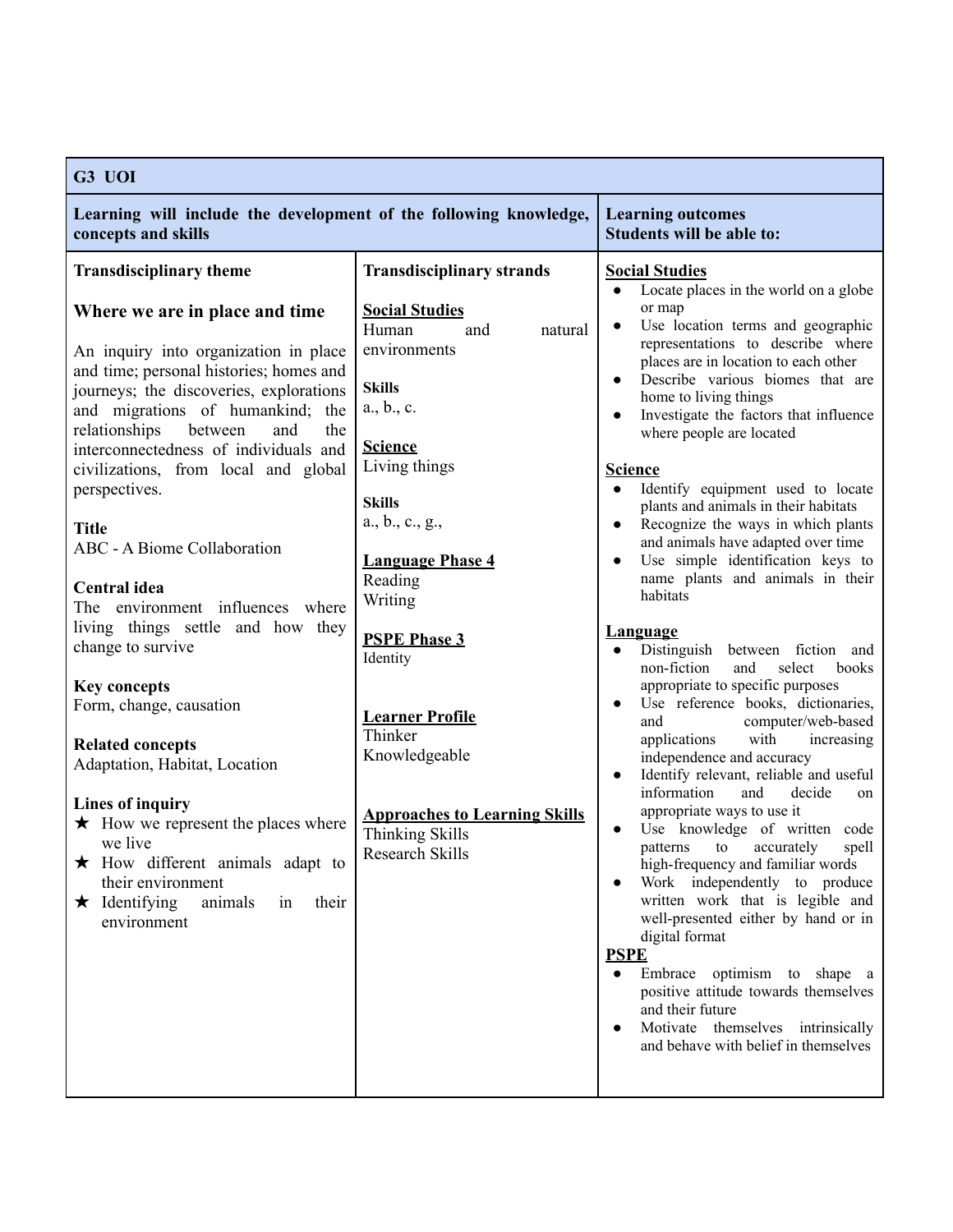| G3 UOI                                                                                                                                                                                                                                                                                                                                                                                                                                                                                                                                                                                                                                                                                                                                                                                                                                        |                                                                                                                                                                                                                                                                                                                                                                                                                              |                                                                                                                                                                                                                                                                                                                                                                                                                                                                                                                                                                                                                                                                                                                                                                                                                                                                                                                                                                                                                                                                                                                                                                                                                                                                                                                                                                                                                                                                                          |  |  |
|-----------------------------------------------------------------------------------------------------------------------------------------------------------------------------------------------------------------------------------------------------------------------------------------------------------------------------------------------------------------------------------------------------------------------------------------------------------------------------------------------------------------------------------------------------------------------------------------------------------------------------------------------------------------------------------------------------------------------------------------------------------------------------------------------------------------------------------------------|------------------------------------------------------------------------------------------------------------------------------------------------------------------------------------------------------------------------------------------------------------------------------------------------------------------------------------------------------------------------------------------------------------------------------|------------------------------------------------------------------------------------------------------------------------------------------------------------------------------------------------------------------------------------------------------------------------------------------------------------------------------------------------------------------------------------------------------------------------------------------------------------------------------------------------------------------------------------------------------------------------------------------------------------------------------------------------------------------------------------------------------------------------------------------------------------------------------------------------------------------------------------------------------------------------------------------------------------------------------------------------------------------------------------------------------------------------------------------------------------------------------------------------------------------------------------------------------------------------------------------------------------------------------------------------------------------------------------------------------------------------------------------------------------------------------------------------------------------------------------------------------------------------------------------|--|--|
| Learning will include the development of the following knowledge,<br>concepts and skills                                                                                                                                                                                                                                                                                                                                                                                                                                                                                                                                                                                                                                                                                                                                                      | <b>Learning outcomes</b><br>Students will be able to:                                                                                                                                                                                                                                                                                                                                                                        |                                                                                                                                                                                                                                                                                                                                                                                                                                                                                                                                                                                                                                                                                                                                                                                                                                                                                                                                                                                                                                                                                                                                                                                                                                                                                                                                                                                                                                                                                          |  |  |
| <b>Transdisciplinary theme</b>                                                                                                                                                                                                                                                                                                                                                                                                                                                                                                                                                                                                                                                                                                                                                                                                                | <b>Transdisciplinary strands</b>                                                                                                                                                                                                                                                                                                                                                                                             | <b>Social Studies</b><br>Locate places in the world on a globe<br>$\bullet$                                                                                                                                                                                                                                                                                                                                                                                                                                                                                                                                                                                                                                                                                                                                                                                                                                                                                                                                                                                                                                                                                                                                                                                                                                                                                                                                                                                                              |  |  |
| Where we are in place and time<br>An inquiry into organization in place<br>and time; personal histories; homes and<br>journeys; the discoveries, explorations<br>and migrations of humankind;<br>the<br>relationships<br>between<br>the<br>and<br>interconnectedness of individuals and<br>civilizations, from local and global<br>perspectives.<br><b>Title</b><br>ABC - A Biome Collaboration<br><b>Central</b> idea<br>The environment influences where<br>living things settle and how they<br>change to survive<br><b>Key concepts</b><br>Form, change, causation<br><b>Related concepts</b><br>Adaptation, Habitat, Location<br>Lines of inquiry<br>$\star$ How we represent the places where<br>we live<br>$\star$ How different animals adapt to<br>their environment<br>$\star$ Identifying<br>animals<br>in<br>their<br>environment | <b>Social Studies</b><br>Human<br>natural<br>and<br>environments<br><b>Skills</b><br>$a_{\cdot}, b_{\cdot}, c_{\cdot}$<br><b>Science</b><br>Living things<br><b>Skills</b><br>a., b., c., g.,<br><b>Language Phase 4</b><br>Reading<br>Writing<br><b>PSPE Phase 3</b><br>Identity<br><b>Learner Profile</b><br>Thinker<br>Knowledgeable<br><b>Approaches to Learning Skills</b><br><b>Thinking Skills</b><br>Research Skills | or map<br>Use location terms and geographic<br>$\bullet$<br>representations to describe where<br>places are in location to each other<br>Describe various biomes that are<br>home to living things<br>Investigate the factors that influence<br>$\bullet$<br>where people are located<br><b>Science</b><br>Identify equipment used to locate<br>$\bullet$<br>plants and animals in their habitats<br>Recognize the ways in which plants<br>$\bullet$<br>and animals have adapted over time<br>Use simple identification keys to<br>$\bullet$<br>name plants and animals in their<br>habitats<br><b>Language</b><br>Distinguish between fiction and<br>non-fiction<br>and<br>select<br>books<br>appropriate to specific purposes<br>Use reference books, dictionaries,<br>$\bullet$<br>computer/web-based<br>and<br>with<br>applications<br>increasing<br>independence and accuracy<br>Identify relevant, reliable and useful<br>$\bullet$<br>information<br>and<br>decide<br>on<br>appropriate ways to use it<br>Use knowledge of written code<br>$\bullet$<br>accurately<br>spell<br>patterns<br>to<br>high-frequency and familiar words<br>Work independently to produce<br>written work that is legible and<br>well-presented either by hand or in<br>digital format<br><b>PSPE</b><br>Embrace optimism to shape a<br>$\bullet$<br>positive attitude towards themselves<br>and their future<br>Motivate themselves intrinsically<br>$\bullet$<br>and behave with belief in themselves |  |  |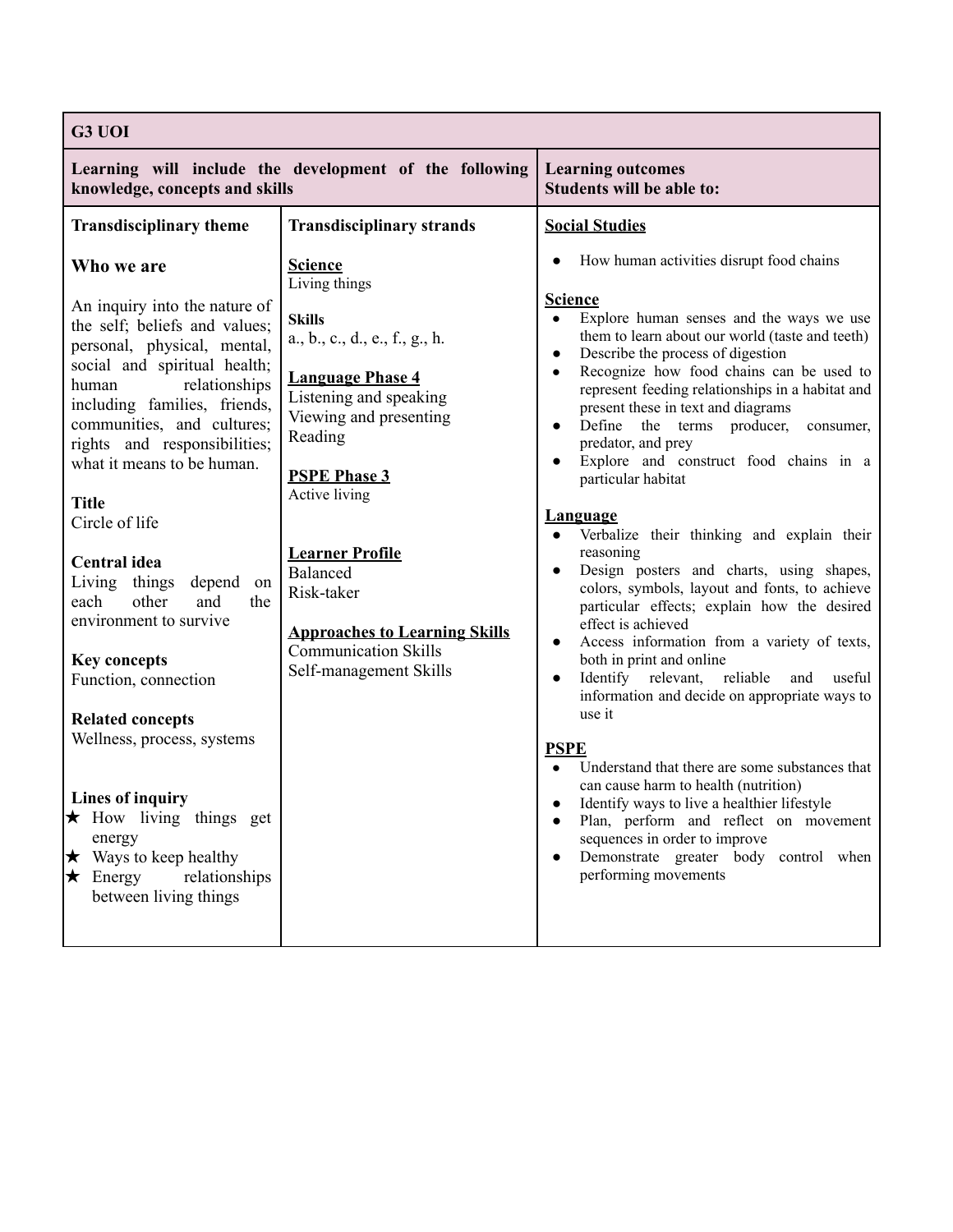| G3 UOI                                                                                                                                                                                                                                                                                                                                                                                                                                                                                                                                                                                                                                                                                                            |                                                                                                                                                                                                                                                                                                                                                                           |                                                                                                                                                                                                                                                                                                                                                                                                                                                                                                                                                                                                                                                                                                                                                                                                                                                                                                                                                                                                                                                                                                                                                                                                                                                                                                           |
|-------------------------------------------------------------------------------------------------------------------------------------------------------------------------------------------------------------------------------------------------------------------------------------------------------------------------------------------------------------------------------------------------------------------------------------------------------------------------------------------------------------------------------------------------------------------------------------------------------------------------------------------------------------------------------------------------------------------|---------------------------------------------------------------------------------------------------------------------------------------------------------------------------------------------------------------------------------------------------------------------------------------------------------------------------------------------------------------------------|-----------------------------------------------------------------------------------------------------------------------------------------------------------------------------------------------------------------------------------------------------------------------------------------------------------------------------------------------------------------------------------------------------------------------------------------------------------------------------------------------------------------------------------------------------------------------------------------------------------------------------------------------------------------------------------------------------------------------------------------------------------------------------------------------------------------------------------------------------------------------------------------------------------------------------------------------------------------------------------------------------------------------------------------------------------------------------------------------------------------------------------------------------------------------------------------------------------------------------------------------------------------------------------------------------------|
| Learning will include the development of the following<br>knowledge, concepts and skills                                                                                                                                                                                                                                                                                                                                                                                                                                                                                                                                                                                                                          |                                                                                                                                                                                                                                                                                                                                                                           | <b>Learning outcomes</b><br><b>Students will be able to:</b>                                                                                                                                                                                                                                                                                                                                                                                                                                                                                                                                                                                                                                                                                                                                                                                                                                                                                                                                                                                                                                                                                                                                                                                                                                              |
| <b>Transdisciplinary theme</b>                                                                                                                                                                                                                                                                                                                                                                                                                                                                                                                                                                                                                                                                                    | <b>Transdisciplinary strands</b>                                                                                                                                                                                                                                                                                                                                          | <b>Social Studies</b>                                                                                                                                                                                                                                                                                                                                                                                                                                                                                                                                                                                                                                                                                                                                                                                                                                                                                                                                                                                                                                                                                                                                                                                                                                                                                     |
| Who we are<br>An inquiry into the nature of<br>the self; beliefs and values;<br>personal, physical, mental,<br>social and spiritual health;<br>relationships<br>human<br>including families, friends,<br>communities, and cultures;<br>rights and responsibilities;<br>what it means to be human.<br><b>Title</b><br>Circle of life<br><b>Central idea</b><br>Living things depend on<br>other<br>and<br>the<br>each<br>environment to survive<br><b>Key concepts</b><br>Function, connection<br><b>Related concepts</b><br>Wellness, process, systems<br>Lines of inquiry<br>$\star$ How living things get<br>energy<br>$\star$ Ways to keep healthy<br>relationships<br>$\star$ Energy<br>between living things | <b>Science</b><br>Living things<br><b>Skills</b><br>a., b., c., d., e., f., g., h.<br><b>Language Phase 4</b><br>Listening and speaking<br>Viewing and presenting<br>Reading<br><b>PSPE Phase 3</b><br>Active living<br><b>Learner Profile</b><br>Balanced<br>Risk-taker<br><b>Approaches to Learning Skills</b><br><b>Communication Skills</b><br>Self-management Skills | How human activities disrupt food chains<br><b>Science</b><br>Explore human senses and the ways we use<br>$\bullet$<br>them to learn about our world (taste and teeth)<br>Describe the process of digestion<br>$\bullet$<br>Recognize how food chains can be used to<br>$\bullet$<br>represent feeding relationships in a habitat and<br>present these in text and diagrams<br>Define the terms producer,<br>consumer,<br>$\bullet$<br>predator, and prey<br>Explore and construct food chains in a<br>particular habitat<br><u>Language</u><br>Verbalize their thinking and explain their<br>reasoning<br>Design posters and charts, using shapes,<br>$\bullet$<br>colors, symbols, layout and fonts, to achieve<br>particular effects; explain how the desired<br>effect is achieved<br>Access information from a variety of texts,<br>$\bullet$<br>both in print and online<br>Identify relevant, reliable<br>and<br>useful<br>$\bullet$<br>information and decide on appropriate ways to<br>use it<br><b>PSPE</b><br>Understand that there are some substances that<br>can cause harm to health (nutrition)<br>Identify ways to live a healthier lifestyle<br>Plan, perform and reflect on movement<br>sequences in order to improve<br>Demonstrate greater body control when<br>performing movements |